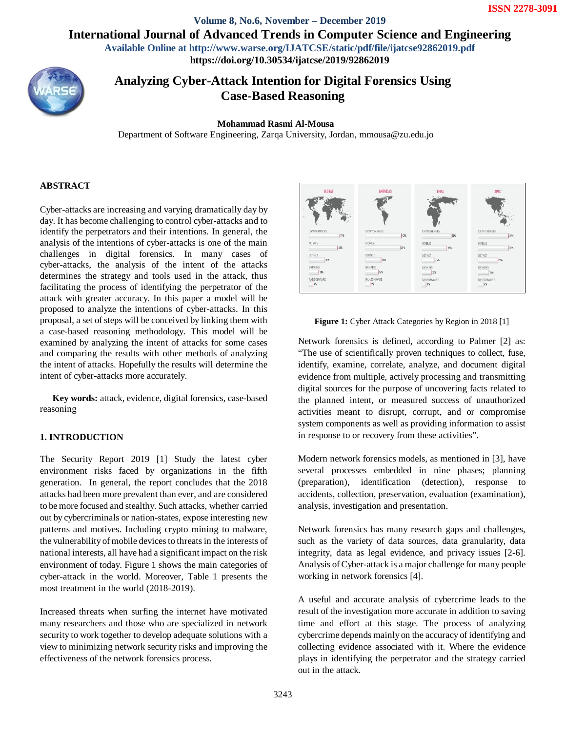**Volume 8, No.6, November – December 2019 International Journal of Advanced Trends in Computer Science and Engineering**

**Available Online at http://www.warse.org/IJATCSE/static/pdf/file/ijatcse92862019.pdf**

**https://doi.org/10.30534/ijatcse/2019/92862019**



**Analyzing Cyber-Attack Intention for Digital Forensics Using Case-Based Reasoning**

### **Mohammad Rasmi Al-Mousa**

Department of Software Engineering, Zarqa University, Jordan, mmousa@zu.edu.jo

# **ABSTRACT**

Cyber-attacks are increasing and varying dramatically day by day. It has become challenging to control cyber-attacks and to identify the perpetrators and their intentions. In general, the analysis of the intentions of cyber-attacks is one of the main challenges in digital forensics. In many cases of cyber-attacks, the analysis of the intent of the attacks determines the strategy and tools used in the attack, thus facilitating the process of identifying the perpetrator of the attack with greater accuracy. In this paper a model will be proposed to analyze the intentions of cyber-attacks. In this proposal, a set of steps will be conceived by linking them with a case-based reasoning methodology. This model will be examined by analyzing the intent of attacks for some cases and comparing the results with other methods of analyzing the intent of attacks. Hopefully the results will determine the intent of cyber-attacks more accurately.

**Key words:** attack, evidence, digital forensics, case-based reasoning

# **1. INTRODUCTION**

The Security Report 2019 [1] Study the latest cyber environment risks faced by organizations in the fifth generation. In general, the report concludes that the 2018 attacks had been more prevalent than ever, and are considered to be more focused and stealthy. Such attacks, whether carried out by cybercriminals or nation-states, expose interesting new patterns and motives. Including crypto mining to malware, the vulnerability of mobile devices to threats in the interests of national interests, all have had a significant impact on the risk environment of today. Figure 1 shows the main categories of cyber-attack in the world. Moreover, Table 1 presents the most treatment in the world (2018-2019).

Increased threats when surfing the internet have motivated many researchers and those who are specialized in network security to work together to develop adequate solutions with a view to minimizing network security risks and improving the effectiveness of the network forensics process.



**Figure 1:** Cyber Attack Categories by Region in 2018 [1]

Network forensics is defined, according to Palmer [2] as: "The use of scientifically proven techniques to collect, fuse, identify, examine, correlate, analyze, and document digital evidence from multiple, actively processing and transmitting digital sources for the purpose of uncovering facts related to the planned intent, or measured success of unauthorized activities meant to disrupt, corrupt, and or compromise system components as well as providing information to assist in response to or recovery from these activities".

Modern network forensics models, as mentioned in [3], have several processes embedded in nine phases; planning (preparation), identification (detection), response to accidents, collection, preservation, evaluation (examination), analysis, investigation and presentation.

Network forensics has many research gaps and challenges, such as the variety of data sources, data granularity, data integrity, data as legal evidence, and privacy issues [2-6]. Analysis of Cyber-attack is a major challenge for many people working in network forensics [4].

A useful and accurate analysis of cybercrime leads to the result of the investigation more accurate in addition to saving time and effort at this stage. The process of analyzing cybercrime depends mainly on the accuracy of identifying and collecting evidence associated with it. Where the evidence plays in identifying the perpetrator and the strategy carried out in the attack.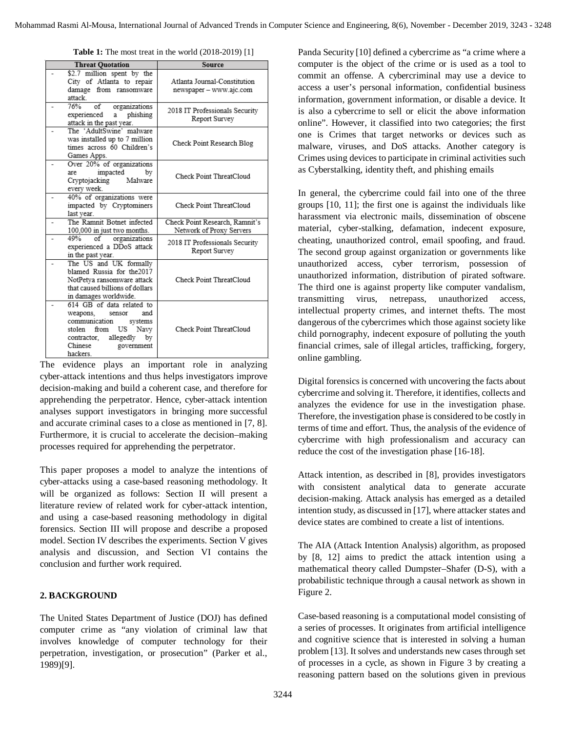**Table 1:** The most treat in the world (2018-2019) [1]

| <b>Threat Quotation</b> |                                               | Source                                          |  |
|-------------------------|-----------------------------------------------|-------------------------------------------------|--|
|                         | \$2.7 million spent by the                    |                                                 |  |
|                         | City of Atlanta to repair                     | Atlanta Journal-Constitution                    |  |
|                         | damage from ransomware                        | newspaper - www.ajc.com                         |  |
|                         | attack                                        |                                                 |  |
|                         | 76%<br>of<br>organizations                    | 2018 IT Professionals Security                  |  |
|                         | a phishing<br>experienced                     | Report Survey                                   |  |
|                         | attack in the past year.                      |                                                 |  |
|                         | The 'AdultSwine' malware                      |                                                 |  |
|                         | was installed up to 7 million                 | Check Point Research Blog                       |  |
|                         | times across 60 Children's                    |                                                 |  |
|                         | Games Apps.                                   |                                                 |  |
|                         | Over 20% of organizations                     |                                                 |  |
|                         | impacted<br>bv<br>are                         | Check Point ThreatCloud                         |  |
|                         | Cryptojacking<br>Malware                      |                                                 |  |
|                         | every week.                                   |                                                 |  |
|                         | 40% of organizations were                     |                                                 |  |
|                         | impacted by Cryptominers                      | Check Point ThreatCloud                         |  |
|                         | last year.<br>The Ramnit Botnet infected      |                                                 |  |
|                         |                                               | Check Point Research, Ramnit's                  |  |
|                         | 100,000 in just two months.<br>49%            | Network of Proxy Servers                        |  |
|                         | of organizations<br>experienced a DDoS attack | 2018 IT Professionals Security<br>Report Survey |  |
|                         | in the past year.                             |                                                 |  |
|                         | The US and UK formally                        |                                                 |  |
|                         | blamed Russia for the 2017                    |                                                 |  |
|                         | NotPetya ransomware attack                    | Check Point ThreatCloud                         |  |
|                         | that caused billions of dollars               |                                                 |  |
|                         | in damages worldwide.                         |                                                 |  |
|                         | 614 GB of data related to                     |                                                 |  |
|                         | weapons,<br>and<br>sensor                     |                                                 |  |
|                         | communication<br>systems                      |                                                 |  |
|                         | stolen from<br>US Navy                        | Check Point ThreatCloud                         |  |
|                         | contractor, allegedly<br>by                   |                                                 |  |
|                         | Chinese<br>government                         |                                                 |  |
|                         | hackers                                       |                                                 |  |

The evidence plays an important role in analyzing cyber-attack intentions and thus helps investigators improve decision-making and build a coherent case, and therefore for apprehending the perpetrator. Hence, cyber-attack intention analyses support investigators in bringing more successful and accurate criminal cases to a close as mentioned in [7, 8]. Furthermore, it is crucial to accelerate the decision–making processes required for apprehending the perpetrator.

This paper proposes a model to analyze the intentions of cyber-attacks using a case-based reasoning methodology. It will be organized as follows: Section II will present a literature review of related work for cyber-attack intention, and using a case-based reasoning methodology in digital forensics. Section III will propose and describe a proposed model. Section IV describes the experiments. Section V gives analysis and discussion, and Section VI contains the conclusion and further work required.

### **2. BACKGROUND**

The United States Department of Justice (DOJ) has defined computer crime as "any violation of criminal law that involves knowledge of computer technology for their perpetration, investigation, or prosecution" (Parker et al., 1989)[9].

Panda Security [10] defined a cybercrime as "a crime where a computer is the object of the crime or is used as a tool to commit an offense. A cybercriminal may use a device to access a user's personal information, confidential business information, government information, or disable a device. It is also a cybercrime to sell or elicit the above information online". However, it classified into two categories; the first one is Crimes that target networks or devices such as malware, viruses, and DoS attacks. Another category is Crimes using devices to participate in criminal activities such as Cyberstalking, identity theft, and phishing emails

In general, the cybercrime could fail into one of the three groups [10, 11]; the first one is against the individuals like harassment via electronic mails, dissemination of obscene material, cyber-stalking, defamation, indecent exposure, cheating, unauthorized control, email spoofing, and fraud. The second group against organization or governments like unauthorized access, cyber terrorism, possession of unauthorized information, distribution of pirated software. The third one is against property like computer vandalism, transmitting virus, netrepass, unauthorized access, intellectual property crimes, and internet thefts. The most dangerous of the cybercrimes which those against society like child pornography, indecent exposure of polluting the youth financial crimes, sale of illegal articles, trafficking, forgery, online gambling.

Digital forensics is concerned with uncovering the facts about cybercrime and solving it. Therefore, it identifies, collects and analyzes the evidence for use in the investigation phase. Therefore, the investigation phase is considered to be costly in terms of time and effort. Thus, the analysis of the evidence of cybercrime with high professionalism and accuracy can reduce the cost of the investigation phase [16-18].

Attack intention, as described in [8], provides investigators with consistent analytical data to generate accurate decision-making. Attack analysis has emerged as a detailed intention study, as discussed in [17], where attacker states and device states are combined to create a list of intentions.

The AIA (Attack Intention Analysis) algorithm, as proposed by [8, 12] aims to predict the attack intention using a mathematical theory called Dumpster–Shafer (D-S), with a probabilistic technique through a causal network as shown in Figure 2.

Case-based reasoning is a computational model consisting of a series of processes. It originates from artificial intelligence and cognitive science that is interested in solving a human problem [13]. It solves and understands new cases through set of processes in a cycle, as shown in Figure 3 by creating a reasoning pattern based on the solutions given in previous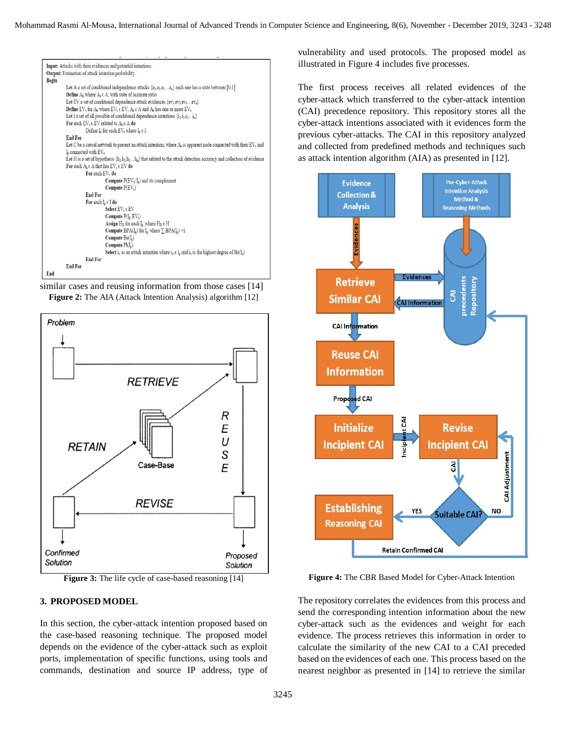

similar cases and reusing information from those cases [14] **Figure 2:** The AIA (Attack Intention Analysis) algorithm [12]



**Figure 3:** The life cycle of case-based reasoning [14]

#### **3. PROPOSED MODEL**

In this section, the cyber-attack intention proposed based on the case-based reasoning technique. The proposed model depends on the evidence of the cyber-attack such as exploit ports, implementation of specific functions, using tools and commands, destination and source IP address, type of vulnerability and used protocols. The proposed model as illustrated in Figure 4 includes five processes.

The first process receives all related evidences of the cyber-attack which transferred to the cyber-attack intention (CAI) precedence repository. This repository stores all the cyber-attack intentions associated with it evidences form the previous cyber-attacks. The CAI in this repository analyzed and collected from predefined methods and techniques such as attack intention algorithm (AIA) as presented in [12].



**Figure 4:** The CBR Based Model for Cyber-Attack Intention

The repository correlates the evidences from this process and send the corresponding intention information about the new cyber-attack such as the evidences and weight for each evidence. The process retrieves this information in order to calculate the similarity of the new CAI to a CAI preceded based on the evidences of each one. This process based on the nearest neighbor as presented in [14] to retrieve the similar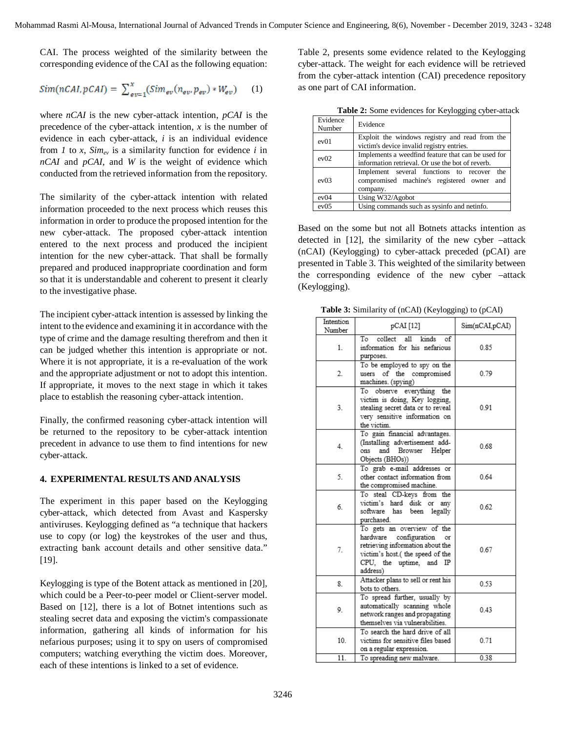CAI. The process weighted of the similarity between the corresponding evidence of the CAI as the following equation:

$$
Sim(nCAI, pCAI) = \sum_{ev=1}^{x} (Sim_{ev}(n_{ev}, p_{ev}) * W_{ev})
$$
 (1)

where *nCAI* is the new cyber-attack intention, *pCAI* is the precedence of the cyber-attack intention, *x* is the number of evidence in each cyber-attack, *i* is an individual evidence from *I* to *x*,  $\lim_{ev}$  is a similarity function for evidence *i* in *nCAI* and *pCAI*, and *W* is the weight of evidence which conducted from the retrieved information from the repository.

The similarity of the cyber-attack intention with related information proceeded to the next process which reuses this information in order to produce the proposed intention for the new cyber-attack. The proposed cyber-attack intention entered to the next process and produced the incipient intention for the new cyber-attack. That shall be formally prepared and produced inappropriate coordination and form so that it is understandable and coherent to present it clearly to the investigative phase.

The incipient cyber-attack intention is assessed by linking the intent to the evidence and examining it in accordance with the type of crime and the damage resulting therefrom and then it can be judged whether this intention is appropriate or not. Where it is not appropriate, it is a re-evaluation of the work and the appropriate adjustment or not to adopt this intention. If appropriate, it moves to the next stage in which it takes place to establish the reasoning cyber-attack intention.

Finally, the confirmed reasoning cyber-attack intention will be returned to the repository to be cyber-attack intention precedent in advance to use them to find intentions for new cyber-attack.

# **4. EXPERIMENTAL RESULTS AND ANALYSIS**

The experiment in this paper based on the Keylogging cyber-attack, which detected from Avast and Kaspersky antiviruses. Keylogging defined as "a technique that hackers use to copy (or log) the keystrokes of the user and thus, extracting bank account details and other sensitive data." [19].

Keylogging is type of the Botent attack as mentioned in [20], which could be a Peer-to-peer model or Client-server model. Based on [12], there is a lot of Botnet intentions such as stealing secret data and exposing the victim's compassionate information, gathering all kinds of information for his nefarious purposes; using it to spy on users of compromised computers; watching everything the victim does. Moreover, each of these intentions is linked to a set of evidence.

Table 2, presents some evidence related to the Keylogging cyber-attack. The weight for each evidence will be retrieved from the cyber-attack intention (CAI) precedence repository as one part of CAI information.

| <b>There E</b> , bother evidences for the $f_{\text{c}}$ $\beta$ and $f_{\text{c}}$ and $f_{\text{c}}$ |                                                                                                         |  |  |  |
|--------------------------------------------------------------------------------------------------------|---------------------------------------------------------------------------------------------------------|--|--|--|
| Evidence<br>Number                                                                                     | Evidence                                                                                                |  |  |  |
| ev01                                                                                                   | Exploit the windows registry and read from the<br>victim's device invalid registry entries.             |  |  |  |
| ev02                                                                                                   | Implements a weedfind feature that can be used for<br>information retrieval. Or use the bot of reverb.  |  |  |  |
| ev03                                                                                                   | Implement several functions to recover<br>the<br>compromised machine's registered owner and<br>company. |  |  |  |
| ev04                                                                                                   | Using W32/Agobot                                                                                        |  |  |  |
| ev05                                                                                                   | Using commands such as sysinfo and netinfo.                                                             |  |  |  |

**Table 2:** Some evidences for Keylogging cyber-attack

Based on the some but not all Botnets attacks intention as detected in [12], the similarity of the new cyber –attack (nCAI) (Keylogging) to cyber-attack preceded (pCAI) are presented in Table 3. This weighted of the similarity between the corresponding evidence of the new cyber –attack (Keylogging).

**Table 3:** Similarity of (nCAI) (Keylogging) to (pCAI)

| Intention<br>Number | pCAI [12]                                                                                                                                                                | Sim(nCAI,pCAI) |
|---------------------|--------------------------------------------------------------------------------------------------------------------------------------------------------------------------|----------------|
| 1.                  | T <sub>o</sub><br>collect<br>kinds<br>a11<br>оf<br>information for his nefarious<br>purposes.                                                                            | 0.85           |
| 2.                  | To be employed to spy on the<br>users of the compromised<br>machines. (spying)                                                                                           | 0.79           |
| 3.                  | observe everything the<br>To<br>victim is doing, Key logging,<br>stealing secret data or to reveal<br>very sensitive information on<br>the victim.                       | 0.91           |
| 4.                  | To gain financial advantages.<br>(Installing advertisement add-<br>ons and Browser Helper<br>Objects (BHOs))                                                             | 0.68           |
| 5.                  | To grab e-mail addresses or<br>other contact information from<br>the compromised machine.                                                                                | 0.64           |
| 6.                  | To steal CD-keys from the<br>victim's hard disk<br>or any<br>software has been<br>legally<br>purchased.                                                                  | 0.62           |
| 7.                  | To gets an overview of the<br>hardware configuration<br>or<br>retrieving information about the<br>victim's host.(the speed of the<br>CPU, the uptime, and IP<br>address) | 0.67           |
| 8.                  | Attacker plans to sell or rent his<br>bots to others.                                                                                                                    | 0.53           |
| 9.                  | To spread further, usually by<br>automatically scanning whole<br>network ranges and propagating<br>themselves via vulnerabilities.                                       | 0.43           |
| 10 <sub>1</sub>     | To search the hard drive of all<br>victims for sensitive files based<br>on a regular expression.                                                                         | 0.71           |
| 11.                 | To spreading new malware.                                                                                                                                                | 0.38           |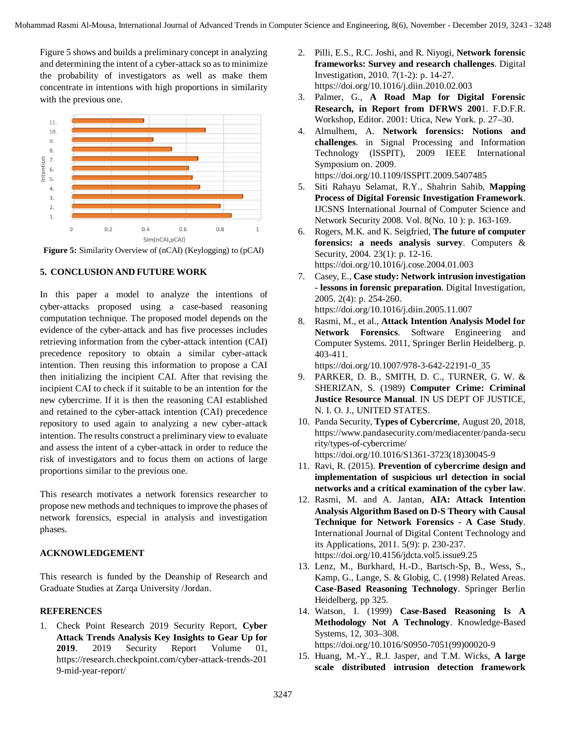Figure 5 shows and builds a preliminary concept in analyzing and determining the intent of a cyber-attack so as to minimize the probability of investigators as well as make them concentrate in intentions with high proportions in similarity with the previous one.



**Figure 5:** Similarity Overview of (nCAI) (Keylogging) to (pCAI)

# **5. CONCLUSION AND FUTURE WORK**

In this paper a model to analyze the intentions of cyber-attacks proposed using a case-based reasoning computation technique. The proposed model depends on the evidence of the cyber-attack and has five processes includes retrieving information from the cyber-attack intention (CAI) precedence repository to obtain a similar cyber-attack intention. Then reusing this information to propose a CAI then initializing the incipient CAI. After that revising the incipient CAI to check if it suitable to be an intention for the new cybercrime. If it is then the reasoning CAI established and retained to the cyber-attack intention (CAI) precedence repository to used again to analyzing a new cyber-attack intention. The results construct a preliminary view to evaluate and assess the intent of a cyber-attack in order to reduce the risk of investigators and to focus them on actions of large proportions similar to the previous one.

This research motivates a network forensics researcher to propose new methods and techniques to improve the phases of network forensics, especial in analysis and investigation phases.

# **ACKNOWLEDGEMENT**

This research is funded by the Deanship of Research and Graduate Studies at Zarqa University /Jordan.

# **REFERENCES**

1. Check Point Research 2019 Security Report, **Cyber Attack Trends Analysis Key Insights to Gear Up for 2019**. 2019 Security Report Volume 01, https://research.checkpoint.com/cyber-attack-trends-201 9-mid-year-report/

- 2. Pilli, E.S., R.C. Joshi, and R. Niyogi, **Network forensic frameworks: Survey and research challenges**. Digital Investigation, 2010. 7(1-2): p. 14-27. https://doi.org/10.1016/j.diin.2010.02.003
- 3. Palmer, G., **A Road Map for Digital Forensic Research, in Report from DFRWS 200**1. F.D.F.R. Workshop, Editor. 2001: Utica, New York. p. 27–30.
- 4. Almulhem, A. **Network forensics: Notions and challenges**. in Signal Processing and Information Technology (ISSPIT), 2009 IEEE International Symposium on. 2009.

https://doi.org/10.1109/ISSPIT.2009.5407485

- 5. Siti Rahayu Selamat, R.Y., Shahrin Sahib, **Mapping Process of Digital Forensic Investigation Framework**. IJCSNS International Journal of Computer Science and Network Security 2008. Vol. 8(No. 10 ): p. 163-169.
- 6. Rogers, M.K. and K. Seigfried, **The future of computer forensics: a needs analysis survey**. Computers & Security, 2004. 23(1): p. 12-16. https://doi.org/10.1016/j.cose.2004.01.003
- 7. Casey, E., **Case study: Network intrusion investigation - lessons in forensic preparation**. Digital Investigation, 2005. 2(4): p. 254-260.

https://doi.org/10.1016/j.diin.2005.11.007

8. Rasmi, M., et al., **Attack Intention Analysis Model for Network Forensics**. Software Engineering and Computer Systems. 2011, Springer Berlin Heidelberg. p. 403-411.

https://doi.org/10.1007/978-3-642-22191-0\_35

- 9. PARKER, D. B., SMITH, D. C., TURNER, G. W. & SHERIZAN, S. (1989) **Computer Crime: Criminal Justice Resource Manual**. IN US DEPT OF JUSTICE, N. I. O. J., UNITED STATES.
- 10. Panda Security, **Types of Cybercrime**, August 20, 2018, https://www.pandasecurity.com/mediacenter/panda-secu rity/types-of-cybercrime/ https://doi.org/10.1016/S1361-3723(18)30045-9
- 11. Ravi, R. (2015). **Prevention of cybercrime design and implementation of suspicious url detection in social networks and a critical examination of the cyber law**.
- 12. Rasmi, M. and A. Jantan, **AIA: Attack Intention Analysis Algorithm Based on D-S Theory with Causal Technique for Network Forensics - A Case Study**. International Journal of Digital Content Technology and its Applications, 2011. 5(9): p. 230-237. https://doi.org/10.4156/jdcta.vol5.issue9.25
- 13. Lenz, M., Burkhard, H.-D., Bartsch-Sp, B., Wess, S., Kamp, G., Lange, S. & Globig, C. (1998) Related Areas. **Case-Based Reasoning Technology**. Springer Berlin Heidelberg, pp 325.
- 14. Watson, I. (1999) **Case-Based Reasoning Is A Methodology Not A Technology**. Knowledge-Based Systems, 12, 303–308. https://doi.org/10.1016/S0950-7051(99)00020-9
- 15. Huang, M.-Y., R.J. Jasper, and T.M. Wicks, **A large scale distributed intrusion detection framework**